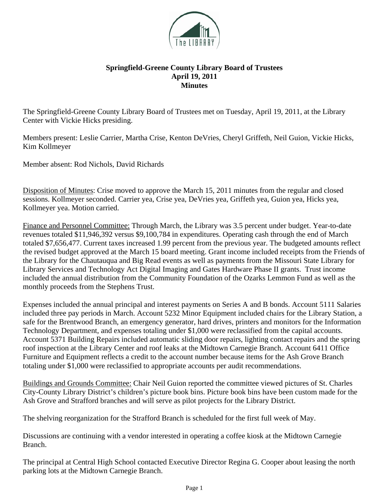

## **Springfield-Greene County Library Board of Trustees April 19, 2011 Minutes**

The Springfield-Greene County Library Board of Trustees met on Tuesday, April 19, 2011, at the Library Center with Vickie Hicks presiding.

Members present: Leslie Carrier, Martha Crise, Kenton DeVries, Cheryl Griffeth, Neil Guion, Vickie Hicks, Kim Kollmeyer

Member absent: Rod Nichols, David Richards

Disposition of Minutes: Crise moved to approve the March 15, 2011 minutes from the regular and closed sessions. Kollmeyer seconded. Carrier yea, Crise yea, DeVries yea, Griffeth yea, Guion yea, Hicks yea, Kollmeyer yea. Motion carried.

Finance and Personnel Committee: Through March, the Library was 3.5 percent under budget. Year-to-date revenues totaled \$11,946,392 versus \$9,100,784 in expenditures. Operating cash through the end of March totaled \$7,656,477. Current taxes increased 1.99 percent from the previous year. The budgeted amounts reflect the revised budget approved at the March 15 board meeting. Grant income included receipts from the Friends of the Library for the Chautauqua and Big Read events as well as payments from the Missouri State Library for Library Services and Technology Act Digital Imaging and Gates Hardware Phase II grants. Trust income included the annual distribution from the Community Foundation of the Ozarks Lemmon Fund as well as the monthly proceeds from the Stephens Trust.

Expenses included the annual principal and interest payments on Series A and B bonds. Account 5111 Salaries included three pay periods in March. Account 5232 Minor Equipment included chairs for the Library Station, a safe for the Brentwood Branch, an emergency generator, hard drives, printers and monitors for the Information Technology Department, and expenses totaling under \$1,000 were reclassified from the capital accounts. Account 5371 Building Repairs included automatic sliding door repairs, lighting contact repairs and the spring roof inspection at the Library Center and roof leaks at the Midtown Carnegie Branch. Account 6411 Office Furniture and Equipment reflects a credit to the account number because items for the Ash Grove Branch totaling under \$1,000 were reclassified to appropriate accounts per audit recommendations.

Buildings and Grounds Committee: Chair Neil Guion reported the committee viewed pictures of St. Charles City-County Library District's children's picture book bins. Picture book bins have been custom made for the Ash Grove and Strafford branches and will serve as pilot projects for the Library District.

The shelving reorganization for the Strafford Branch is scheduled for the first full week of May.

Discussions are continuing with a vendor interested in operating a coffee kiosk at the Midtown Carnegie Branch.

The principal at Central High School contacted Executive Director Regina G. Cooper about leasing the north parking lots at the Midtown Carnegie Branch.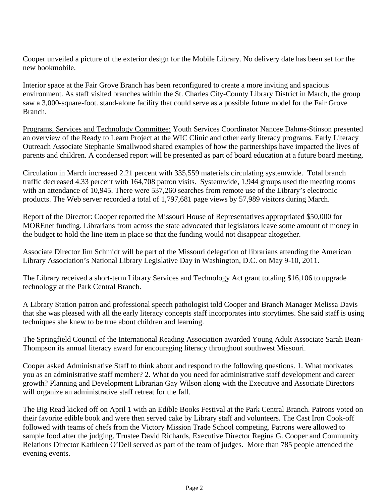Cooper unveiled a picture of the exterior design for the Mobile Library. No delivery date has been set for the new bookmobile.

Interior space at the Fair Grove Branch has been reconfigured to create a more inviting and spacious environment. As staff visited branches within the St. Charles City-County Library District in March, the group saw a 3,000-square-foot. stand-alone facility that could serve as a possible future model for the Fair Grove Branch.

Programs, Services and Technology Committee: Youth Services Coordinator Nancee Dahms-Stinson presented an overview of the Ready to Learn Project at the WIC Clinic and other early literacy programs. Early Literacy Outreach Associate Stephanie Smallwood shared examples of how the partnerships have impacted the lives of parents and children. A condensed report will be presented as part of board education at a future board meeting.

Circulation in March increased 2.21 percent with 335,559 materials circulating systemwide. Total branch traffic decreased 4.33 percent with 164,708 patron visits. Systemwide, 1,944 groups used the meeting rooms with an attendance of 10,945. There were 537,260 searches from remote use of the Library's electronic products. The Web server recorded a total of 1,797,681 page views by 57,989 visitors during March.

Report of the Director: Cooper reported the Missouri House of Representatives appropriated \$50,000 for MOREnet funding. Librarians from across the state advocated that legislators leave some amount of money in the budget to hold the line item in place so that the funding would not disappear altogether.

Associate Director Jim Schmidt will be part of the Missouri delegation of librarians attending the American Library Association's National Library Legislative Day in Washington, D.C. on May 9-10, 2011.

The Library received a short-term Library Services and Technology Act grant totaling \$16,106 to upgrade technology at the Park Central Branch.

A Library Station patron and professional speech pathologist told Cooper and Branch Manager Melissa Davis that she was pleased with all the early literacy concepts staff incorporates into storytimes. She said staff is using techniques she knew to be true about children and learning.

The Springfield Council of the International Reading Association awarded Young Adult Associate Sarah Bean-Thompson its annual literacy award for encouraging literacy throughout southwest Missouri.

Cooper asked Administrative Staff to think about and respond to the following questions. 1. What motivates you as an administrative staff member? 2. What do you need for administrative staff development and career growth? Planning and Development Librarian Gay Wilson along with the Executive and Associate Directors will organize an administrative staff retreat for the fall.

The Big Read kicked off on April 1 with an Edible Books Festival at the Park Central Branch. Patrons voted on their favorite edible book and were then served cake by Library staff and volunteers. The Cast Iron Cook-off followed with teams of chefs from the Victory Mission Trade School competing. Patrons were allowed to sample food after the judging. Trustee David Richards, Executive Director Regina G. Cooper and Community Relations Director Kathleen O'Dell served as part of the team of judges. More than 785 people attended the evening events.